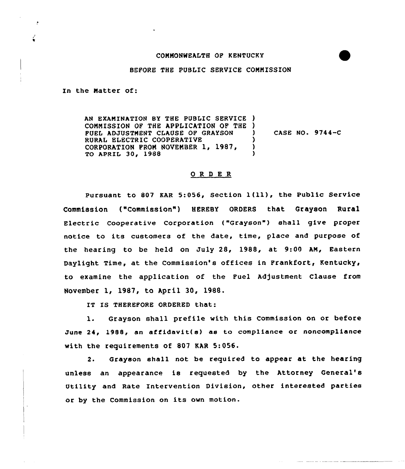## COMMONWEALTH OP KENTUCKY

## BEFORE THE PUBLIC SERVICE COMMISSION

In the Natter of:

 $\bullet$ 

AN EXAMINATION BY THE PUBLIC SERVICE ) COMMISSION OF THE APPLICATION OF THE ) FUEL ADJUSTMENT CLAUSE OF GRAYSON RURAL ELECTRIC COOPERATIVE CORPORATION FROM NOVEMBER 1, 1987, TO APRIL 30, 1988 ) CASE NQ. 9744-C ) ) 3

## ORDER

Pursuant to <sup>807</sup> KAR 5:056, Section l(ll), the Public Service Commission ("Commission") HEREBY ORDERS that Grayson Rural Electric Cooperative Corporation ("Grayson") shall give proper notice to its customers of the date, time, place and purpose of the hearing to be held on July 28, 1988, at 9:00 AN, Eastern Daylight Time, at the Commission's offices in Frankfort, Kentucky, to examine the application of the Fuel Adjustment Clause from November 1, 1987, to April 30, 1988.

IT IS THEREFORE ORDERED that:

l. Grayson shall prefile with this Commission on or before June 24, 1988, an affidavit( s) as to compliance or noncompliance with the requirements of 807 KAR 5:056.

2. Grayson shall not be required to appear at the hearing unless an appearance is requested by the Attorney General' Utility and Rate Intervention Division, other interested parties or by the Commission on its own motion.